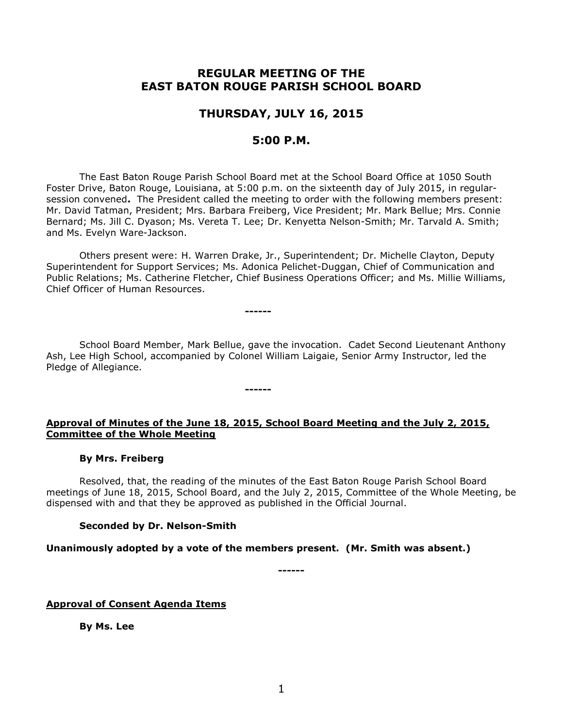# **REGULAR MEETING OF THE EAST BATON ROUGE PARISH SCHOOL BOARD**

# **THURSDAY, JULY 16, 2015**

# **5:00 P.M.**

The East Baton Rouge Parish School Board met at the School Board Office at 1050 South Foster Drive, Baton Rouge, Louisiana, at 5:00 p.m. on the sixteenth day of July 2015, in regularsession convened**.** The President called the meeting to order with the following members present: Mr. David Tatman, President; Mrs. Barbara Freiberg, Vice President; Mr. Mark Bellue; Mrs. Connie Bernard; Ms. Jill C. Dyason; Ms. Vereta T. Lee; Dr. Kenyetta Nelson-Smith; Mr. Tarvald A. Smith; and Ms. Evelyn Ware-Jackson.

Others present were: H. Warren Drake, Jr., Superintendent; Dr. Michelle Clayton, Deputy Superintendent for Support Services; Ms. Adonica Pelichet-Duggan, Chief of Communication and Public Relations; Ms. Catherine Fletcher, Chief Business Operations Officer; and Ms. Millie Williams, Chief Officer of Human Resources.

**------**

**------**

School Board Member, Mark Bellue, gave the invocation. Cadet Second Lieutenant Anthony Ash, Lee High School, accompanied by Colonel William Laigaie, Senior Army Instructor, led the Pledge of Allegiance.

## **Approval of Minutes of the June 18, 2015, School Board Meeting and the July 2, 2015, Committee of the Whole Meeting**

#### **By Mrs. Freiberg**

Resolved, that, the reading of the minutes of the East Baton Rouge Parish School Board meetings of June 18, 2015, School Board, and the July 2, 2015, Committee of the Whole Meeting, be dispensed with and that they be approved as published in the Official Journal.

## **Seconded by Dr. Nelson-Smith**

#### **Unanimously adopted by a vote of the members present. (Mr. Smith was absent.)**

**------**

## **Approval of Consent Agenda Items**

**By Ms. Lee**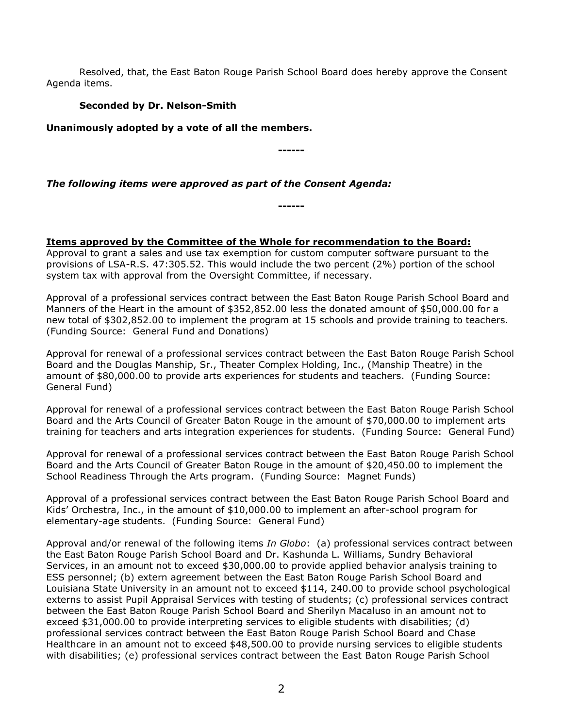Resolved, that, the East Baton Rouge Parish School Board does hereby approve the Consent Agenda items.

# **Seconded by Dr. Nelson-Smith**

**Unanimously adopted by a vote of all the members.**

**------**

# *The following items were approved as part of the Consent Agenda:*

**------**

# **Items approved by the Committee of the Whole for recommendation to the Board:**

Approval to grant a sales and use tax exemption for custom computer software pursuant to the provisions of LSA-R.S. 47:305.52. This would include the two percent (2%) portion of the school system tax with approval from the Oversight Committee, if necessary.

Approval of a professional services contract between the East Baton Rouge Parish School Board and Manners of the Heart in the amount of \$352,852.00 less the donated amount of \$50,000.00 for a new total of \$302,852.00 to implement the program at 15 schools and provide training to teachers. (Funding Source: General Fund and Donations)

Approval for renewal of a professional services contract between the East Baton Rouge Parish School Board and the Douglas Manship, Sr., Theater Complex Holding, Inc., (Manship Theatre) in the amount of \$80,000.00 to provide arts experiences for students and teachers. (Funding Source: General Fund)

Approval for renewal of a professional services contract between the East Baton Rouge Parish School Board and the Arts Council of Greater Baton Rouge in the amount of \$70,000.00 to implement arts training for teachers and arts integration experiences for students. (Funding Source: General Fund)

Approval for renewal of a professional services contract between the East Baton Rouge Parish School Board and the Arts Council of Greater Baton Rouge in the amount of \$20,450.00 to implement the School Readiness Through the Arts program. (Funding Source: Magnet Funds)

Approval of a professional services contract between the East Baton Rouge Parish School Board and Kids' Orchestra, Inc., in the amount of \$10,000.00 to implement an after-school program for elementary-age students. (Funding Source: General Fund)

Approval and/or renewal of the following items *In Globo*: (a) professional services contract between the East Baton Rouge Parish School Board and Dr. Kashunda L. Williams, Sundry Behavioral Services, in an amount not to exceed \$30,000.00 to provide applied behavior analysis training to ESS personnel; (b) extern agreement between the East Baton Rouge Parish School Board and Louisiana State University in an amount not to exceed \$114, 240.00 to provide school psychological externs to assist Pupil Appraisal Services with testing of students; (c) professional services contract between the East Baton Rouge Parish School Board and Sherilyn Macaluso in an amount not to exceed \$31,000.00 to provide interpreting services to eligible students with disabilities; (d) professional services contract between the East Baton Rouge Parish School Board and Chase Healthcare in an amount not to exceed \$48,500.00 to provide nursing services to eligible students with disabilities; (e) professional services contract between the East Baton Rouge Parish School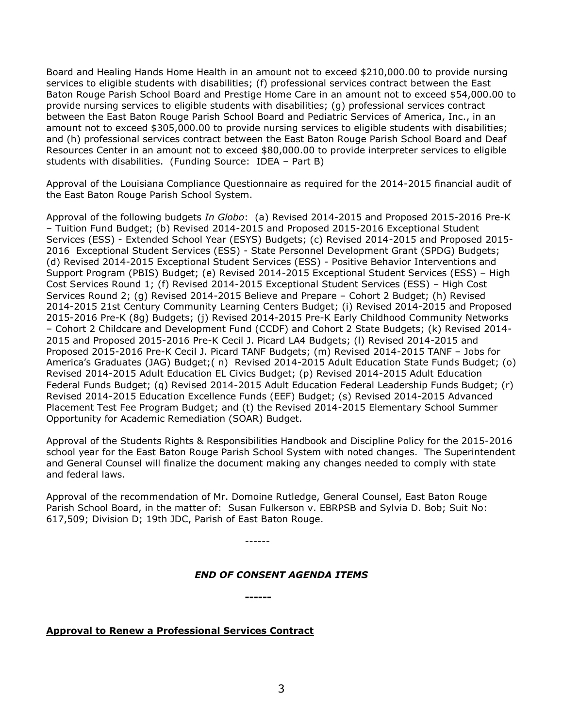Board and Healing Hands Home Health in an amount not to exceed \$210,000.00 to provide nursing services to eligible students with disabilities; (f) professional services contract between the East Baton Rouge Parish School Board and Prestige Home Care in an amount not to exceed \$54,000.00 to provide nursing services to eligible students with disabilities; (g) professional services contract between the East Baton Rouge Parish School Board and Pediatric Services of America, Inc., in an amount not to exceed \$305,000.00 to provide nursing services to eligible students with disabilities; and (h) professional services contract between the East Baton Rouge Parish School Board and Deaf Resources Center in an amount not to exceed \$80,000.00 to provide interpreter services to eligible students with disabilities. (Funding Source: IDEA – Part B)

Approval of the Louisiana Compliance Questionnaire as required for the 2014-2015 financial audit of the East Baton Rouge Parish School System.

Approval of the following budgets *In Globo*: (a) Revised 2014-2015 and Proposed 2015-2016 Pre-K – Tuition Fund Budget; (b) Revised 2014-2015 and Proposed 2015-2016 Exceptional Student Services (ESS) - Extended School Year (ESYS) Budgets; (c) Revised 2014-2015 and Proposed 2015- 2016 Exceptional Student Services (ESS) - State Personnel Development Grant (SPDG) Budgets; (d) Revised 2014-2015 Exceptional Student Services (ESS) - Positive Behavior Interventions and Support Program (PBIS) Budget; (e) Revised 2014-2015 Exceptional Student Services (ESS) – High Cost Services Round 1; (f) Revised 2014-2015 Exceptional Student Services (ESS) – High Cost Services Round 2; (g) Revised 2014-2015 Believe and Prepare – Cohort 2 Budget; (h) Revised 2014-2015 21st Century Community Learning Centers Budget; (i) Revised 2014-2015 and Proposed 2015-2016 Pre-K (8g) Budgets; (j) Revised 2014-2015 Pre-K Early Childhood Community Networks – Cohort 2 Childcare and Development Fund (CCDF) and Cohort 2 State Budgets; (k) Revised 2014- 2015 and Proposed 2015-2016 Pre-K Cecil J. Picard LA4 Budgets; (l) Revised 2014-2015 and Proposed 2015-2016 Pre-K Cecil J. Picard TANF Budgets; (m) Revised 2014-2015 TANF – Jobs for America's Graduates (JAG) Budget;( n) Revised 2014-2015 Adult Education State Funds Budget; (o) Revised 2014-2015 Adult Education EL Civics Budget; (p) Revised 2014-2015 Adult Education Federal Funds Budget; (q) Revised 2014-2015 Adult Education Federal Leadership Funds Budget; (r) Revised 2014-2015 Education Excellence Funds (EEF) Budget; (s) Revised 2014-2015 Advanced Placement Test Fee Program Budget; and (t) the Revised 2014-2015 Elementary School Summer Opportunity for Academic Remediation (SOAR) Budget.

Approval of the Students Rights & Responsibilities Handbook and Discipline Policy for the 2015-2016 school year for the East Baton Rouge Parish School System with noted changes. The Superintendent and General Counsel will finalize the document making any changes needed to comply with state and federal laws.

Approval of the recommendation of Mr. Domoine Rutledge, General Counsel, East Baton Rouge Parish School Board, in the matter of: Susan Fulkerson v. EBRPSB and Sylvia D. Bob; Suit No: 617,509; Division D; 19th JDC, Parish of East Baton Rouge.

------

**------**

#### *END OF CONSENT AGENDA ITEMS*

**Approval to Renew a Professional Services Contract**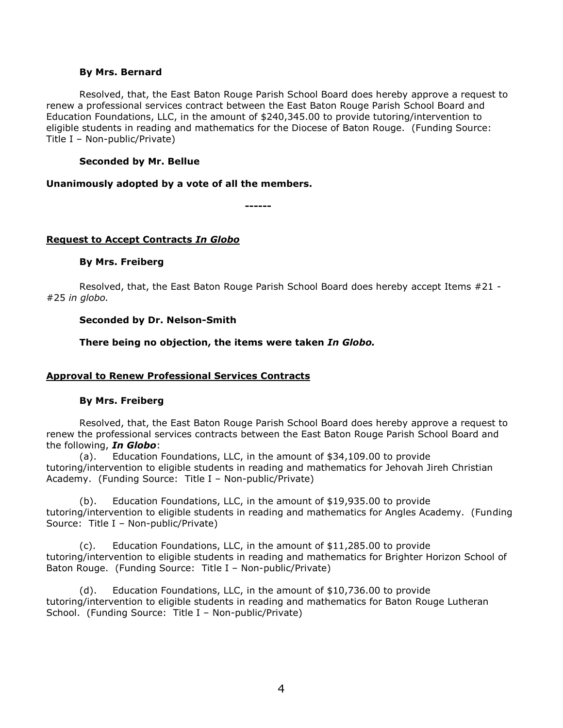#### **By Mrs. Bernard**

Resolved, that, the East Baton Rouge Parish School Board does hereby approve a request to renew a professional services contract between the East Baton Rouge Parish School Board and Education Foundations, LLC, in the amount of \$240,345.00 to provide tutoring/intervention to eligible students in reading and mathematics for the Diocese of Baton Rouge. (Funding Source: Title I – Non-public/Private)

### **Seconded by Mr. Bellue**

#### **Unanimously adopted by a vote of all the members.**

**------**

### **Request to Accept Contracts** *In Globo*

#### **By Mrs. Freiberg**

Resolved, that, the East Baton Rouge Parish School Board does hereby accept Items #21 - #25 *in globo.* 

#### **Seconded by Dr. Nelson-Smith**

**There being no objection, the items were taken** *In Globo.*

## **Approval to Renew Professional Services Contracts**

#### **By Mrs. Freiberg**

Resolved, that, the East Baton Rouge Parish School Board does hereby approve a request to renew the professional services contracts between the East Baton Rouge Parish School Board and the following, *In Globo*:

(a). Education Foundations, LLC, in the amount of \$34,109.00 to provide tutoring/intervention to eligible students in reading and mathematics for Jehovah Jireh Christian Academy. (Funding Source: Title I – Non-public/Private)

(b). Education Foundations, LLC, in the amount of \$19,935.00 to provide tutoring/intervention to eligible students in reading and mathematics for Angles Academy. (Funding Source: Title I – Non-public/Private)

(c). Education Foundations, LLC, in the amount of \$11,285.00 to provide tutoring/intervention to eligible students in reading and mathematics for Brighter Horizon School of Baton Rouge. (Funding Source: Title I – Non-public/Private)

(d). Education Foundations, LLC, in the amount of \$10,736.00 to provide tutoring/intervention to eligible students in reading and mathematics for Baton Rouge Lutheran School. (Funding Source: Title I – Non-public/Private)